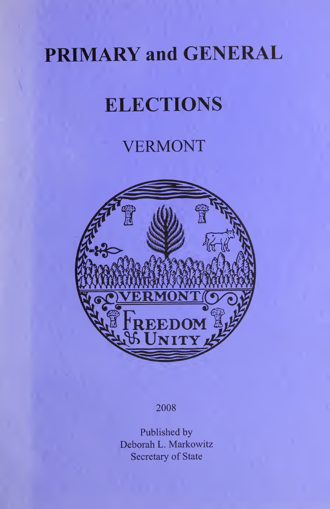# PRIMARY and GENERAL

# **ELECTIONS**

# VERMONT



### 2008

Published by Deborah L. Markowitz Secretary of State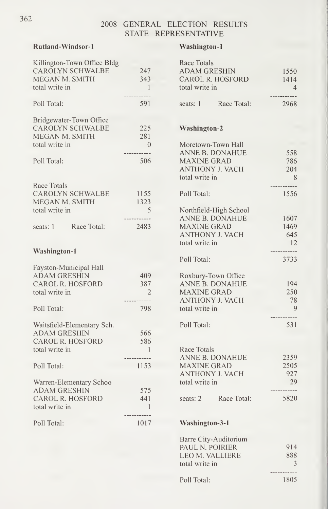### Rutland-Windsor-1 Washington-1

| Killington-Town Office Bldg<br><b>CAROLYN SCHWALBE</b><br>MEGAN M. SMITH<br>total write in | 247<br>343<br>$\overline{1}$ | Race Totals<br><b>ADAM GRESHIN</b><br><b>CAROL R. HOSFORD</b><br>total write in | 1550<br>1414<br>$\overline{4}$ |
|--------------------------------------------------------------------------------------------|------------------------------|---------------------------------------------------------------------------------|--------------------------------|
| Poll Total:                                                                                | 591                          | Race Total:<br>seats: 1                                                         | 2968                           |
| Bridgewater-Town Office                                                                    |                              |                                                                                 |                                |
| <b>CAROLYN SCHWALBE</b>                                                                    | 225                          | <b>Washington-2</b>                                                             |                                |
| MEGAN M. SMITH                                                                             | 281                          |                                                                                 |                                |
| total write in                                                                             | $\hspace{0.6cm}0$            | Moretown-Town Hall                                                              |                                |
|                                                                                            | ------------                 | <b>ANNE B. DONAHUE</b>                                                          | 558                            |
| Poll Total:                                                                                | 506                          | <b>MAXINE GRAD</b>                                                              | 786                            |
|                                                                                            |                              | ANTHONY J. VACH                                                                 | 204                            |
|                                                                                            |                              | total write in                                                                  | 8                              |
| Race Totals                                                                                |                              |                                                                                 | -----------                    |
| <b>CAROLYN SCHWALBE</b>                                                                    | - 1155                       | Poll Total:                                                                     | 1556                           |
| MEGAN M. SMITH                                                                             | 1323                         |                                                                                 |                                |
| total write in                                                                             | 5                            | Northfield-High School                                                          |                                |
|                                                                                            | ------------                 | <b>ANNE B. DONAHUE</b>                                                          | 1607                           |
| Race Total:<br>seats: 1                                                                    | 2483                         | <b>MAXINE GRAD</b>                                                              | 1469                           |
|                                                                                            |                              | ANTHONY J. VACH                                                                 | 645                            |
|                                                                                            |                              | total write in                                                                  | <sup>12</sup>                  |
| <b>Washington-1</b>                                                                        |                              |                                                                                 | -----------                    |
|                                                                                            |                              | Poll Total:                                                                     | 3733                           |
| Fayston-Municipal Hall                                                                     |                              |                                                                                 |                                |
| <b>ADAM GRESHIN</b>                                                                        | 409                          | Roxbury-Town Office                                                             |                                |
| <b>CAROL R. HOSFORD</b>                                                                    | 387                          | <b>ANNE B. DONAHUE</b>                                                          | 194                            |
| total write in                                                                             | $\overline{2}$               | <b>MAXINE GRAD</b>                                                              | 250                            |
|                                                                                            |                              | <b>ANTHONY J. VACH</b>                                                          | 78                             |
| Poll Total:                                                                                | 798                          | total write in                                                                  | 9                              |
|                                                                                            |                              |                                                                                 | -----------                    |
| Waitsfield-Elementary Sch.                                                                 |                              | Poll Total:                                                                     | 531                            |
| <b>ADAM GRESHIN</b>                                                                        | 566                          |                                                                                 |                                |
| <b>CAROL R. HOSFORD</b>                                                                    | 586                          |                                                                                 |                                |
| total write in                                                                             | $\overline{1}$               | Race Totals                                                                     |                                |
|                                                                                            | -----------                  | <b>ANNE B. DONAHUE</b>                                                          | 2359                           |
| Poll Total:                                                                                | 1153                         | <b>MAXINE GRAD</b>                                                              | 2505                           |
|                                                                                            |                              | ANTHONY J. VACH                                                                 | 927                            |
| Warren-Elementary Schoo                                                                    |                              | total write in                                                                  | 29                             |
| <b>ADAM GRESHIN</b>                                                                        | 575                          |                                                                                 | -----------                    |
| CAROL R. HOSFORD                                                                           | 441                          | Race Total:<br>seats: $2$                                                       | 5820                           |
| total write in                                                                             | 1                            |                                                                                 |                                |
| Poll Total:                                                                                | -----------<br>1017          | <b>Washington-3-1</b>                                                           |                                |

| Race Totals            |                |
|------------------------|----------------|
| <b>ADAM GRESHIN</b>    | 1550           |
| CAROL R. HOSFORD       | 1414           |
| total write in         | $\overline{4}$ |
|                        |                |
| seats: 1 Race Total:   | 2968           |
|                        |                |
| <b>Washington-2</b>    |                |
| Moretown-Town Hall     |                |
| ANNE B. DONAHUE        | 558            |
| MAXINE GRAD            | 786            |
| <b>ANTHONY J. VACH</b> | 204            |
| total write in         | 8              |
|                        |                |
| Poll Total:            | 1556           |
| Northfield-High School |                |
| ANNE B. DONAHUE        | 1607           |
| <b>MAXINE GRAD</b>     | 1469           |
| <b>ANTHONY J. VACH</b> | 645            |
| total write in         | 12             |
| Poll Total:            | $---$<br>3733  |
| Roxbury-Town Office    |                |
| ANNE B. DONAHUE        | 194            |
| MAXINE GRAD            | 250            |
| <b>ANTHONY J. VACH</b> | 78             |
| total write in         | 9              |
|                        | .              |
| Poll Total:            | 531            |
|                        |                |
| Race Totals            |                |
| ANNE B. DONAHUE        | 2359           |
| <b>MAXINE GRAD</b>     | 2505           |
| <b>ANTHONY J. VACH</b> | 927            |
| total write in         | 29             |
| seats: 2 Race Total:   | .<br>5820      |
|                        |                |
| <b>Washington-3-1</b>  |                |
| Barre City-Auditorium  |                |
| PAUL N. POIRIER        | 914            |
| LEO M. VALLIERE        | 888            |
| total write in         | 3              |

Poll Total: 1805

362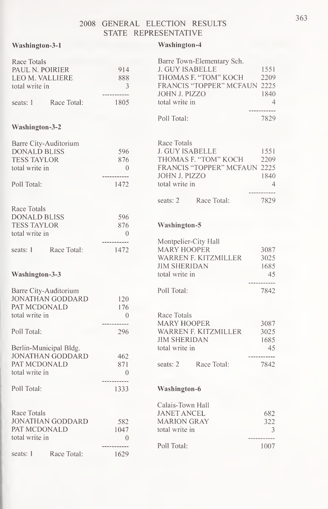### Washington-3-1

### Washington-4

| Race Totals<br>PAUL N. POIRIER<br>LEO M. VALLIERE<br>total write in<br>seats: 1      | Race Total:             | 914<br>888<br>3<br>------------<br>1805 | <b>J. GUY ISABELLE</b><br>JOHN J. PIZZO<br>total write in   | Barre Town-Elementary Sch.<br>THOMAS F. "TOM" KOCH<br><b>FRANCIS "TOPPER" MCFAUN 2225</b> | 1551<br>2209<br>1840<br>$\overline{4}$<br>------------ |
|--------------------------------------------------------------------------------------|-------------------------|-----------------------------------------|-------------------------------------------------------------|-------------------------------------------------------------------------------------------|--------------------------------------------------------|
| Washington-3-2                                                                       |                         |                                         | Poll Total:                                                 |                                                                                           | 7829                                                   |
|                                                                                      |                         |                                         |                                                             |                                                                                           |                                                        |
| Barre City-Auditorium<br><b>DONALD BLISS</b><br><b>TESS TAYLOR</b><br>total write in |                         | 596<br>876<br>$\theta$<br>-----------   | Race Totals<br><b>J. GUY ISABELLE</b><br>JOHN J. PIZZO      | THOMAS F. "TOM" KOCH<br><b>FRANCIS "TOPPER" MCFAUN 2225</b>                               | 1551<br>2209<br>1840                                   |
| Poll Total:                                                                          |                         | 1472                                    | total write in                                              |                                                                                           | 4                                                      |
| Race Totals<br>DONALD BLISS<br><b>TESS TAYLOR</b>                                    |                         | 596<br>876                              | seats: 2<br>Washington-5                                    | Race Total:                                                                               | 7829                                                   |
| total write in                                                                       |                         | $\theta$                                |                                                             |                                                                                           |                                                        |
|                                                                                      |                         | -----------                             | Montpelier-City Hall                                        |                                                                                           |                                                        |
| seats: 1                                                                             | Race Total:             | 1472                                    | <b>MARY HOOPER</b>                                          |                                                                                           | 3087                                                   |
|                                                                                      |                         |                                         |                                                             | WARREN F. KITZMILLER                                                                      | 3025                                                   |
|                                                                                      |                         |                                         | <b>JIM SHERIDAN</b>                                         |                                                                                           | 1685                                                   |
| Washington-3-3                                                                       |                         |                                         | total write in                                              |                                                                                           | 45                                                     |
| Barre City-Auditorium<br>PAT MCDONALD                                                | <b>JONATHAN GODDARD</b> | 120<br>176                              | Poll Total:                                                 |                                                                                           | <br>7842                                               |
| total write in                                                                       |                         | $\Omega$                                | Race Totals                                                 |                                                                                           |                                                        |
| Poll Total:<br>Berlin-Municipal Bldg.                                                |                         | 296                                     | <b>MARY HOOPER</b><br><b>JIM SHERIDAN</b><br>total write in | WARREN F. KITZMILLER                                                                      | 3087<br>3025<br>1685<br>45                             |
|                                                                                      | <b>JONATHAN GODDARD</b> | 462                                     |                                                             |                                                                                           | -----------                                            |
| PAT MCDONALD                                                                         |                         | 871                                     | seats: 2                                                    | Race Total:                                                                               | 7842                                                   |
| total write in                                                                       |                         | $\theta$                                |                                                             |                                                                                           |                                                        |
| Poll Total:                                                                          |                         | ------------<br>1333                    | Washington-6                                                |                                                                                           |                                                        |
|                                                                                      |                         |                                         | Calais-Town Hall                                            |                                                                                           |                                                        |
| Race Totals                                                                          |                         |                                         | <b>JANET ANCEL</b>                                          |                                                                                           | 682                                                    |
|                                                                                      | JONATHAN GODDARD        | 582                                     | <b>MARION GRAY</b>                                          |                                                                                           | 322                                                    |
| PAT MCDONALD                                                                         |                         | 1047                                    | total write in                                              |                                                                                           | 3                                                      |
| total write in                                                                       |                         | $\theta$                                |                                                             |                                                                                           | ------------                                           |
|                                                                                      |                         | ----------                              | Poll Total:                                                 |                                                                                           | 1007                                                   |
| seats: 1                                                                             | Race Total:             | 1629                                    |                                                             |                                                                                           |                                                        |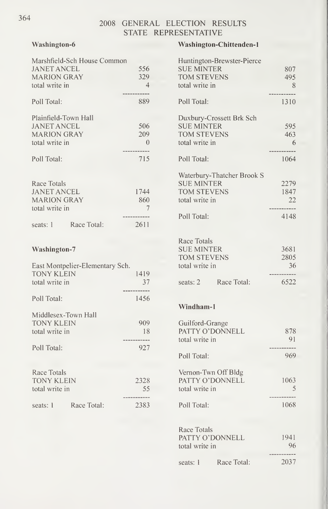### Washington-6

| Marshfield-Sch House Common         |                          |
|-------------------------------------|--------------------------|
| <b>JANET ANCEL</b>                  | 556                      |
| <b>MARION GRAY</b>                  | 329<br>$\overline{4}$    |
| total write in                      |                          |
| Poll Total:                         | 889                      |
| Plainfield-Town Hall                |                          |
| <b>JANET ANCEL</b>                  | 506                      |
| <b>MARION GRAY</b>                  | 209                      |
| total write in                      | $\overline{\phantom{0}}$ |
|                                     |                          |
| Poll Total:                         | 715                      |
|                                     |                          |
| Race Totals                         |                          |
| <b>JANET ANCEL</b>                  | 1744                     |
| <b>MARION GRAY</b>                  | 860                      |
| total write in                      | $\overline{7}$           |
|                                     |                          |
| seats: 1 Race Total:                | 2611                     |
|                                     |                          |
|                                     |                          |
| <b>Washington-7</b>                 |                          |
|                                     |                          |
| East Montpelier-Elementary Sch.     | 1419                     |
| <b>TONY KLEIN</b><br>total write in |                          |
|                                     | 37                       |
| Poll Total:                         | 1456                     |
|                                     |                          |
| Middlesex-Town Hall                 |                          |
| <b>TONY KLEIN</b>                   | 909                      |
| total write in                      | 18                       |
|                                     | .                        |
| Poll Total:                         | 927                      |
|                                     |                          |
| Race Totals                         |                          |
| <b>TONY KLEIN</b>                   | 2328                     |
| total write in                      | 55                       |

seats: 1 Race Total: 2383

#### Washington-Chittenden-1

|                     | Huntington-Brewster-Pierce |                |
|---------------------|----------------------------|----------------|
| <b>SUE MINTER</b>   |                            | 807            |
| <b>TOM STEVENS</b>  |                            | 495            |
| total write in      |                            | 8              |
|                     |                            |                |
| Poll Total:         |                            | 1310           |
|                     | Duxbury-Crossett Brk Sch   |                |
| <b>SUE MINTER</b>   |                            | 595            |
| <b>TOM STEVENS</b>  |                            | 463            |
| total write in      |                            | 6              |
| Poll Total:         |                            | 1064           |
|                     |                            |                |
| <b>SUE MINTER</b>   | Waterbury-Thatcher Brook S | 2279           |
| <b>TOM STEVENS</b>  |                            | 1847           |
|                     |                            |                |
| total write in      |                            | -22<br>.       |
| Poll Total:         |                            | 4148           |
|                     |                            |                |
| Race Totals         |                            |                |
| <b>SUE MINTER</b>   |                            | 3681           |
| <b>TOM STEVENS</b>  |                            | 2805           |
| total write in      |                            | 36<br>-----    |
|                     | seats: 2 Race Total:       | 6522           |
| Windham-1           |                            |                |
| Guilford-Grange     |                            |                |
|                     | PATTY O'DONNELL            | 878            |
| total write in      |                            | 91             |
|                     |                            |                |
| Poll Total:         |                            | 969            |
|                     |                            |                |
| Vernon-Twn Off Bldg |                            |                |
|                     | PATTY O'DONNELL            | 1063           |
| total write in      |                            | $\overline{5}$ |
|                     |                            | 1068           |
| Poll Total:         |                            |                |
| Race Totals         |                            |                |
|                     | PATTY O'DONNELL            | 1941           |
| total write in      |                            | 96             |
|                     |                            |                |
| seats: 1            | Race Total:                | 2037           |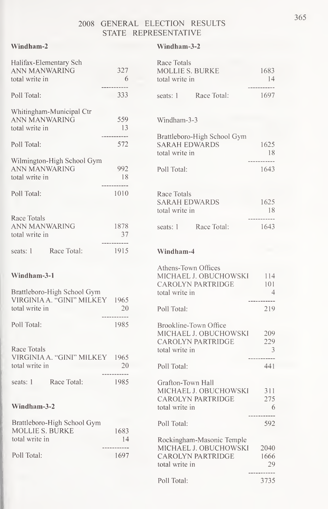#### Windham-2 Windham-3-2

| Halifax-Elementary Sch<br><b>ANN MANWARING</b><br>total write in | 327<br>- 6          | Race Totals<br><b>MOLLIE S. BURKE</b><br>total write in               | 1683<br>-14                  |  |
|------------------------------------------------------------------|---------------------|-----------------------------------------------------------------------|------------------------------|--|
|                                                                  | -----------         |                                                                       | -----------                  |  |
| Poll Total:                                                      | 333                 | Race Total:<br>seats: 1                                               | 1697                         |  |
| Whitingham-Municipal Ctr<br><b>ANN MANWARING</b>                 | 559                 | Windham-3-3                                                           |                              |  |
| total write in                                                   | - 13                |                                                                       |                              |  |
| Poll Total:                                                      | -----------<br>572  | Brattleboro-High School Gym<br><b>SARAH EDWARDS</b><br>total write in | 1625<br>- 18                 |  |
| Wilmington-High School Gym                                       |                     |                                                                       | -----------                  |  |
| <b>ANN MANWARING</b><br>total write in                           | 992<br>-18          | Poll Total:                                                           | 1643                         |  |
|                                                                  | -----------         |                                                                       |                              |  |
| Poll Total:                                                      | 1010                | Race Totals<br><b>SARAH EDWARDS</b><br>total write in                 | 1625<br>- 18                 |  |
| Race Totals<br><b>ANN MANWARING</b><br>total write in            | 1878<br>37          | seats: 1 Race Total:                                                  | -----------<br>1643          |  |
| Race Total:<br>seats: 1                                          | -----------<br>1915 | Windham-4                                                             |                              |  |
|                                                                  |                     | Athens-Town Offices                                                   |                              |  |
| Windham-3-1                                                      |                     | MICHAEL J. OBUCHOWSKI 114<br>CAROLYN PARTRIDGE                        | 101                          |  |
| Brattleboro-High School Gym<br>VIRGINIA A. "GINI" MILKEY 1965    |                     | total write in                                                        | $\frac{4}{ }$<br>----------- |  |
| total write in                                                   | 20<br>------------  | Poll Total:                                                           | 219                          |  |
| Poll Total:                                                      | 1985                | Brookline-Town Office<br>MICHAEL J. OBUCHOWSKI                        | 209                          |  |
| Race Totals                                                      |                     | <b>CAROLYN PARTRIDGE</b>                                              | 229<br>3                     |  |
| VIRGINIA A. "GINI" MILKEY 1965                                   |                     | total write in                                                        | -----------                  |  |
| total write in                                                   | 20<br>------------  | Poll Total:                                                           | 441                          |  |
| Race Total:<br>seats: 1                                          | 1985                | Grafton-Town Hall<br>MICHAEL J. OBUCHOWSKI 311                        |                              |  |
| Windham-3-2                                                      |                     | <b>CAROLYN PARTRIDGE</b><br>total write in                            | 275<br>6                     |  |
| Brattleboro-High School Gym<br>MOLLIE S. BURKE                   | 1683                | Poll Total:                                                           | -----------<br>592           |  |
| total write in                                                   | 14                  | Rockingham-Masonic Temple                                             |                              |  |
| Poll Total:                                                      | ---------<br>1697   | MICHAEL J. OBUCHOWSKI<br><b>CAROLYN PARTRIDGE</b><br>total write in   | 2040<br>1666<br>29           |  |
|                                                                  |                     | Poll Total:                                                           | --------<br>3735             |  |

365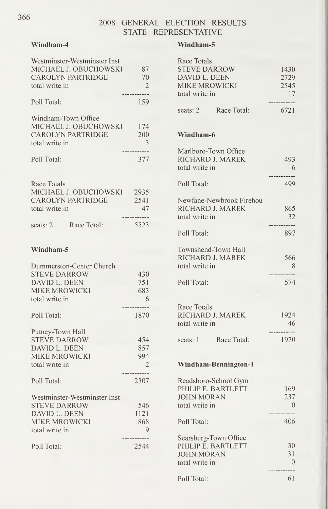#### Windham-4

| total write in                        | Westminster-Westminster Inst<br>MICHAEL J. OBUCHOWSKI<br><b>CAROLYN PARTRIDGE</b> | 87<br>70<br>$\mathcal{P}$ |  |
|---------------------------------------|-----------------------------------------------------------------------------------|---------------------------|--|
| Poll Total:                           |                                                                                   | 159                       |  |
| Windham-Town Office<br>total write in | MICHAEL J. OBUCHOWSKI<br><b>CAROLYN PARTRIDGE</b>                                 | 174<br>200<br>3           |  |
| Poll Total:                           |                                                                                   | 377                       |  |
| Race Totals<br>total write in         | MICHAEL J. OBUCHOWSKI<br>CAROLYN PARTRIDGE                                        | 2935<br>2541<br>47        |  |
| seats: 2 Race Total:                  |                                                                                   | 5523                      |  |
| Windham-5                             |                                                                                   |                           |  |

| Dummerston-Center Church     |      |  |
|------------------------------|------|--|
| <b>STEVE DARROW</b>          | 430  |  |
| DAVID L. DEEN                | 751  |  |
| MIKE MROWICKI                | 683  |  |
| total write in               | 6    |  |
| Poll Total:                  | 1870 |  |
| Putney-Town Hall             |      |  |
| <b>STEVE DARROW</b>          | 454  |  |
| DAVID L. DEEN                | 857  |  |
| MIKE MROWICKI                | 994  |  |
| total write in               | 2    |  |
| Poll Total:                  | 2307 |  |
| Westminster-Westminster Inst |      |  |
| <b>STEVE DARROW</b>          | 546  |  |
| DAVID L. DEEN                | 1121 |  |
| MIKE MROWICKI                | 868  |  |
| total write in               | 9    |  |
| Poll Total:                  | 2544 |  |

#### Windham-5

| Race Totals              |             |
|--------------------------|-------------|
| <b>STEVE DARROW</b>      | 1430        |
| DAVID L. DEEN            | 2729        |
| <b>MIKE MROWICKI</b>     | 2545        |
| total write in           | 17          |
| seats: 2 Race Total:     | .<br>6721   |
| Windham-6                |             |
| Marlboro-Town Office     |             |
| RICHARD J. MAREK         | 493         |
| total write in           | - 6         |
|                          |             |
| Poll Total:              | 499         |
| Newfane-Newbrook Firehou |             |
| RICHARD J. MAREK         | 865         |
| total write in           | 32          |
|                          |             |
| Poll Total:              | 897         |
| Townshend-Town Hall      |             |
| RICHARD J. MAREK         | 566         |
| total write in           | 8           |
|                          |             |
| Poll Total:              | 574         |
|                          |             |
| Race Totals              |             |
| RICHARD J. MAREK         | 1924        |
| total write in           | - 46        |
|                          | ----------- |
| seats: 1 Race Total:     | - 1970      |
| Windham-Bennington-1     |             |
|                          |             |
| Readsboro-School Gym     |             |
| PHILIP E. BARTLETT       | 169         |
| <b>JOHN MORAN</b>        | 237         |
| total write in           | $\theta$    |
|                          |             |
| Poll Total:              | 406         |
| Searsburg-Town Office    |             |
| PHILIP E. BARTLETT       | 30          |
| <b>JOHN MORAN</b>        | 31          |
| total write in           | 0           |
|                          |             |
| Poll Total:              | 61          |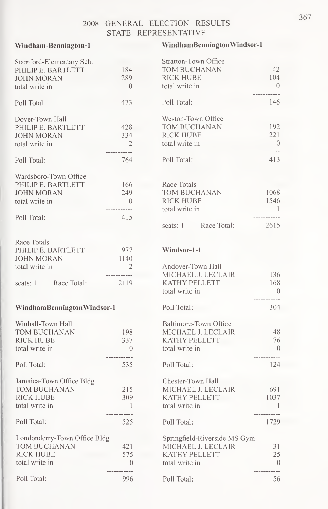#### Windham-Bennington-1

#### WindhamBenningtonWindsor-1

Stratton-Town Office

| Stamford-Elementary Sch.     |                          |
|------------------------------|--------------------------|
| PHILIP E. BARTLETT           | 184                      |
| <b>JOHN MORAN</b>            | 289                      |
| total write in               | $\overline{0}$           |
|                              |                          |
| Poll Total:                  | 473                      |
|                              |                          |
| Dover-Town Hall              |                          |
| PHILIP E. BARTLETT           | 428                      |
| <b>JOHN MORAN</b>            | 334                      |
| total write in               | $\overline{\phantom{0}}$ |
|                              |                          |
| Poll Total:                  | 764                      |
|                              |                          |
| Wardsboro-Town Office        |                          |
| PHILIP E. BARTLETT           | 166                      |
|                              |                          |
| <b>JOHN MORAN</b>            | 249                      |
| total write in               | $\sim$ 0                 |
|                              |                          |
| Poll Total:                  | 415                      |
|                              |                          |
|                              |                          |
| Race Totals                  |                          |
| PHILIP E. BARTLETT           | 977                      |
| <b>JOHN MORAN</b>            | 1140                     |
| total write in               | 2                        |
|                              |                          |
| seats: 1 Race Total:         | 2119                     |
|                              |                          |
|                              |                          |
| WindhamBenningtonWindsor-1   |                          |
|                              |                          |
| Winhall-Town Hall            |                          |
| TOM BUCHANAN                 | 198                      |
| <b>RICK HUBE</b>             | 337                      |
| total write in               | $\overline{\phantom{0}}$ |
|                              |                          |
| Poll Total:                  | 535                      |
|                              |                          |
| Jamaica-Town Office Bldg     |                          |
| <b>TOM BUCHANAN</b>          | 215                      |
| <b>RICK HUBE</b>             | 309                      |
| total write in               | -1                       |
|                              |                          |
| Poll Total:                  | 525                      |
|                              |                          |
| Londonderry-Town Office Bldg |                          |
| TOM BUCHANAN                 | 421                      |
|                              |                          |
| <b>RICK HUBE</b>             | 575                      |
| total write in               | 0                        |
|                              |                          |
| Poll Total:                  | 996                      |

| 42   |
|------|
| 104  |
| 0    |
|      |
| 146  |
|      |
|      |
| 192  |
| 221  |
| 0    |
| 413  |
|      |
|      |
|      |
| 1068 |
| 1546 |
| 1    |
|      |
| 2615 |
|      |

#### Windsor-1-1

| Andover-Town Hall            |                |  |
|------------------------------|----------------|--|
| MICHAEL J. LECLAIR           | 136            |  |
| KATHY PELLETT                | 168            |  |
| total write in               | $\Omega$       |  |
|                              |                |  |
| Poll Total:                  | 304            |  |
| Baltimore-Town Office        |                |  |
| MICHAEL J. LECLAIR           | 48             |  |
| KATHY PELLETT                | 76             |  |
| total write in               | $\theta$       |  |
|                              |                |  |
| Poll Total:                  | 124            |  |
| Chester-Town Hall            |                |  |
| MICHAEL J. LECLAIR           | 691            |  |
| <b>KATHY PELLETT</b>         | 1037           |  |
|                              | $\overline{1}$ |  |
| total write in               |                |  |
| Poll Total:                  | 1729           |  |
|                              |                |  |
| Springfield-Riverside MS Gym |                |  |
| MICHAEL J. LECLAIR           | 31             |  |
| <b>KATHY PELLETT</b>         | 25             |  |
| total write in               | $\Omega$       |  |
|                              |                |  |

Poll Total: 56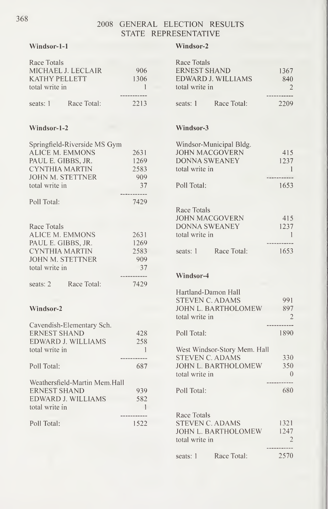#### Windsor-1-1

## Windsor-2 Race Totals

| Race Totals                   |              |  |
|-------------------------------|--------------|--|
| MICHAEL J. LECLAIR            | 906          |  |
| KATHY PELLETT                 | 1306         |  |
| total write in                | $\mathbf{1}$ |  |
|                               |              |  |
| seats: 1 Race Total:          | 2213         |  |
|                               |              |  |
|                               |              |  |
| Windsor-1-2                   |              |  |
| Springfield-Riverside MS Gym  |              |  |
| <b>ALICE M. EMMONS</b>        | 2631         |  |
| PAUL E. GIBBS, JR.            | 1269         |  |
| CYNTHIA MARTIN                | 2583         |  |
| JOHN M. STETTNER              | 909          |  |
| total write in                | 37           |  |
|                               | -----        |  |
| Poll Total:                   | 7429         |  |
|                               |              |  |
| Race Totals                   |              |  |
| ALICE M. EMMONS               | 2631         |  |
| PAUL E. GIBBS, JR.            | 1269         |  |
| CYNTHIA MARTIN                | 2583         |  |
| JOHN M. STETTNER              | 909          |  |
| total write in                | 37           |  |
|                               |              |  |
| seats: 2 Race Total:          | 7429         |  |
|                               |              |  |
| Windsor-2                     |              |  |
| Cavendish-Elementary Sch.     |              |  |
| <b>ERNEST SHAND</b>           | 428          |  |
| EDWARD J. WILLIAMS            | 258          |  |
| total write in                | $\mathbf{1}$ |  |
|                               |              |  |
| Poll Total:                   | 687          |  |
| Weathersfield-Martin Mem.Hall |              |  |
| <b>ERNEST SHAND</b>           | 939          |  |
| EDWARD J. WILLIAMS            | 582          |  |
| total write in                | $\mathbf{1}$ |  |
|                               |              |  |
| Poll Total:                   | 1522         |  |
|                               |              |  |
|                               |              |  |

| <b>ERNEST SHAND</b><br>EDWARD J. WILLIAMS<br>total write in                                                    | 1367<br>840<br>$\overline{2}$                   |
|----------------------------------------------------------------------------------------------------------------|-------------------------------------------------|
| seats: 1 Race Total:                                                                                           | ---<br>2209                                     |
| Windsor-3                                                                                                      |                                                 |
| Windsor-Municipal Bldg.<br><b>JOHN MACGOVERN</b><br><b>DONNA SWEANEY</b><br>total write in<br>Poll Total:      | 415<br>1237<br>$\blacksquare$<br>1653           |
|                                                                                                                |                                                 |
| Race Totals<br>JOHN MACGOVERN<br><b>DONNA SWEANEY</b><br>total write in<br>seats: 1 Race Total:                | 415<br>1237<br>$\overline{1}$<br>------<br>1653 |
| Windsor-4                                                                                                      |                                                 |
| Hartland-Damon Hall<br><b>STEVEN C. ADAMS</b><br>JOHN L. BARTHOLOMEW 897<br>total write in                     | 991<br>$\overline{2}$                           |
| Poll Total:                                                                                                    | 1890                                            |
| West Windsor-Story Mem. Hall<br><b>STEVEN C. ADAMS</b><br>JOHN L. BARTHOLOMEW<br>total write in<br>Poll Total: | 330<br>350<br>$\bigcirc$<br>$---$<br>680        |
| Race Totals<br><b>STEVEN C. ADAMS</b><br>JOHN L. BARTHOLOMEW 1247<br>total write in<br>Race Total:<br>seats: 1 | 1321<br>$\overline{2}$<br>2570                  |
|                                                                                                                |                                                 |

368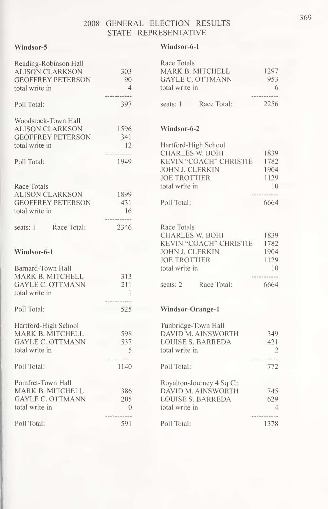#### Windsor-5

#### Windsor-6-1

| Reading-Robinson Hall    |                               | Race Totals               |                |
|--------------------------|-------------------------------|---------------------------|----------------|
| <b>ALISON CLARKSON</b>   | 303                           | MARK B. MITCHELL          | 1297           |
| <b>GEOFFREY PETERSON</b> | 90                            | <b>GAYLE C. OTTMANN</b>   | 953            |
| total write in           | $\overline{4}$<br>----------- | total write in            | 6              |
| Poll Total:              | 397                           | seats: 1 Race Total:      | 2256           |
| Woodstock-Town Hall      |                               |                           |                |
| <b>ALISON CLARKSON</b>   | 1596                          | Windsor-6-2               |                |
| <b>GEOFFREY PETERSON</b> | 341                           |                           |                |
| total write in           | 12                            | Hartford-High School      |                |
|                          | ------------                  | <b>CHARLES W. BOHI</b>    | 1839           |
| Poll Total:              | 1949                          | KEVIN "COACH" CHRISTIE    | 1782           |
|                          |                               | JOHN J. CLERKIN           | 1904           |
|                          |                               | <b>JOE TROTTIER</b>       | 1129           |
| Race Totals              |                               | total write in            | 10             |
| <b>ALISON CLARKSON</b>   | 1899                          |                           |                |
| <b>GEOFFREY PETERSON</b> | 431                           | Poll Total:               | 6664           |
| total write in           | -16<br>------------           |                           |                |
| Race Total:<br>seats: 1  | 2346                          | Race Totals               |                |
|                          |                               | <b>CHARLES W. BOHI</b>    | 1839           |
|                          |                               | KEVIN "COACH" CHRISTIE    | 1782           |
| Windsor-6-1              |                               | <b>JOHN J. CLERKIN</b>    | 1904           |
|                          |                               | <b>JOE TROTTIER</b>       | 1129           |
| Barnard-Town Hall        |                               | total write in            | 10             |
| MARK B. MITCHELL         | 313                           |                           |                |
| <b>GAYLE C. OTTMANN</b>  | 211                           | Race Total:<br>seats: $2$ | 6664           |
| total write in           | $\blacksquare$                |                           |                |
|                          | ------------                  |                           |                |
| Poll Total:              | 525                           | Windsor-Orange-1          |                |
| Hartford-High School     |                               | Tunbridge-Town Hall       |                |
| MARK B. MITCHELL         | 598                           | DAVID M. AINSWORTH        | 349            |
| <b>GAYLE C. OTTMANN</b>  | 537                           | <b>LOUISE S. BARREDA</b>  | 421            |
| total write in           | $\overline{5}$<br>----------- | total write in            | $\overline{c}$ |
| Poll Total:              | 1140                          | Poll Total:               | 772            |
|                          |                               |                           |                |
| Pomfret-Town Hall        |                               | Royalton-Journey 4 Sq Ch  |                |
| MARK B. MITCHELL         | 386                           | DAVID M. AINSWORTH        | 745            |
| <b>GAYLE C. OTTMANN</b>  | 205                           | <b>LOUISE S. BARREDA</b>  | 629            |
| total write in           | $\sqrt{0}$<br>-----------     | total write in            | $\overline{4}$ |
| Poll Total:              | 591                           | Poll Total:               | 1378           |

| Race Totals      |             |      |  |
|------------------|-------------|------|--|
| MARK B. MITCHELL |             | 1297 |  |
| GAYLE C. OTTMANN |             | 953  |  |
| total write in   |             | 6    |  |
|                  |             |      |  |
| seats: 1         | Race Total: | 2256 |  |

#### Windsor-6-2

| Hartford-High School   |      |  |
|------------------------|------|--|
| CHARLES W. BOHI        | 1839 |  |
| KEVIN "COACH" CHRISTIE | 1782 |  |
| JOHN J. CLERKIN        | 1904 |  |
| <b>JOE TROTTIER</b>    | 1129 |  |
| total write in         | 10   |  |
|                        |      |  |
| Poll Total:            | 6664 |  |
|                        |      |  |
|                        |      |  |

| Race Totals     |                             |      |  |
|-----------------|-----------------------------|------|--|
| CHARLES W. BOHI |                             | 1839 |  |
|                 | KEVIN "COACH" CHRISTIE 1782 |      |  |
| JOHN J. CLERKIN |                             | 1904 |  |
| JOE TROTTIER    |                             | 1129 |  |
| total write in  |                             | 10   |  |
|                 |                             |      |  |
|                 | seats: 2 Race Total:        | 6664 |  |
|                 |                             |      |  |

#### ange-1

| Tunbridge-Town Hall<br>DAVID M. AINSWORTH<br><b>LOUISE S. BARREDA</b><br>total write in | 349<br>42.1<br>2 |
|-----------------------------------------------------------------------------------------|------------------|
| Poll Total:                                                                             | 772              |
| Royalton-Journey 4 Sq Ch<br>DAVID M. AINSWORTH<br>LOUISE S. BARREDA<br>total write in   | 745<br>629<br>4  |
| Poll Total:                                                                             | 1378             |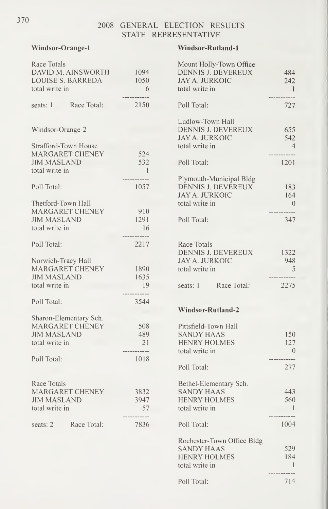Windsor-Orange-

#### Windsor-Rutland-1

| Race Totals              |                          | Mount Holly-Town Office                     |                     |
|--------------------------|--------------------------|---------------------------------------------|---------------------|
| DAVID M. AINSWORTH       | 1094                     | DENNIS J. DEVEREUX                          | 484                 |
| <b>LOUISE S. BARREDA</b> | 1050                     | <b>JAY A. JURKOIC</b>                       | 242                 |
| total write in           | $6\overline{6}$          | total write in                              | $\blacksquare$      |
| seats: 1 Race Total:     | 2150                     | Poll Total:                                 | ------------<br>727 |
|                          |                          | Ludlow-Town Hall                            |                     |
| Windsor-Orange-2         |                          | DENNIS J. DEVEREUX<br><b>JAY A. JURKOIC</b> | 655<br>542          |
| Strafford-Town House     |                          | total write in                              | $\overline{4}$      |
| MARGARET CHENEY          | 524                      |                                             | -----------         |
| <b>JIM MASLAND</b>       | 532                      | Poll Total:                                 | 1201                |
| total write in           | $\overline{\phantom{0}}$ |                                             |                     |
|                          |                          | Plymouth-Municipal Bldg                     |                     |
| Poll Total:              | 1057                     | DENNIS J. DEVEREUX                          | 183                 |
|                          |                          | <b>JAY A. JURKOIC</b>                       | 164                 |
| Thetford-Town Hall       |                          | total write in                              | $\hspace{0.6cm}0$   |
| MARGARET CHENEY          | 910                      |                                             | -----------         |
| <b>JIM MASLAND</b>       | 1291                     | Poll Total:                                 | 347                 |
| total write in           | 16<br>-----------        |                                             |                     |
| Poll Total:              | 2217                     | Race Totals                                 |                     |
|                          |                          | DENNIS J. DEVEREUX                          | 1322                |
| Norwich-Tracy Hall       |                          | <b>JAY A. JURKOIC</b>                       | 948                 |
| MARGARET CHENEY          | 1890                     | total write in                              | 5                   |
| <b>JIM MASLAND</b>       | 1635                     |                                             | -----------         |
| total write in           | -19                      | Race Total:<br>seats: 1                     | 2275                |
|                          | .                        |                                             |                     |
| Poll Total:              | 3544                     |                                             |                     |
|                          |                          | Windsor-Rutland-2                           |                     |
| Sharon-Elementary Sch.   |                          |                                             |                     |
| MARGARET CHENEY          | 508                      | Pittsfield-Town Hall                        |                     |
| <b>JIM MASLAND</b>       | 489                      | <b>SANDY HAAS</b>                           | 150                 |
| total write in           | 21                       | <b>HENRY HOLMES</b>                         | 127                 |
|                          | .                        | total write in                              | $\bigcirc$          |
| Poll Total:              | 1018                     |                                             | -----------         |
|                          |                          | Poll Total:                                 | 277                 |
| Race Totals              |                          | Bethel-Elementary Sch.                      |                     |
| <b>MARGARET CHENEY</b>   | 3832                     | <b>SANDY HAAS</b>                           | 443                 |
| <b>JIM MASLAND</b>       | 3947                     | <b>HENRY HOLMES</b>                         | 560                 |
| total write in           | 57                       | total write in                              | $\blacksquare$      |
|                          | -----------              |                                             | -----------         |
| Race Total:<br>seats: 2  | 7836                     | Poll Total:                                 | 1004                |
|                          |                          | Rochester-Town Office Bldg                  |                     |
|                          |                          | CANINVIJA A C                               | 520                 |

| Mount Holly-Town Office<br>DENNIS J. DEVEREUX<br>JAY A. JURKOIC                                   | 484<br>242                                    |
|---------------------------------------------------------------------------------------------------|-----------------------------------------------|
| total write in                                                                                    | $\overline{1}$                                |
| Poll Total:                                                                                       | 727                                           |
| Ludlow-Town Hall<br>DENNIS J. DEVEREUX<br>JAY A. JURKOIC<br>total write in                        | 655<br>542<br>$\overline{4}$                  |
| Poll Total:                                                                                       | 1201                                          |
| Plymouth-Municipal Bldg<br>DENNIS J. DEVEREUX<br>JAY A. JURKOIC<br>total write in                 | 183<br>164<br>$\overline{0}$<br>----          |
| Poll Total:                                                                                       | 347                                           |
| Race Totals<br>DENNIS J. DEVEREUX<br>JAY A. JURKOIC<br>total write in                             | 1322<br>948<br>5                              |
| seats: 1 Race Total:                                                                              | 2275                                          |
| <b>Windsor-Rutland-2</b>                                                                          |                                               |
| Pittsfield-Town Hall<br><b>SANDY HAAS</b><br><b>HENRY HOLMES</b><br>total write in<br>Poll Total: | 150<br>127<br>$\overline{0}$<br>------<br>277 |
| Bethel-Elementary Sch.                                                                            |                                               |
| <b>SANDY HAAS</b><br><b>HENRY HOLMES</b><br>total write in                                        | 443<br>560<br>$\sim 1$<br>-------             |
| Poll Total:                                                                                       | 1004                                          |
| Rochester-Town Office Bldg<br>SANDY HAAS<br><b>HENRY HOLMES</b><br>total write in                 | 529<br>184<br>$\mathbf{I}$                    |

Poll Total: 714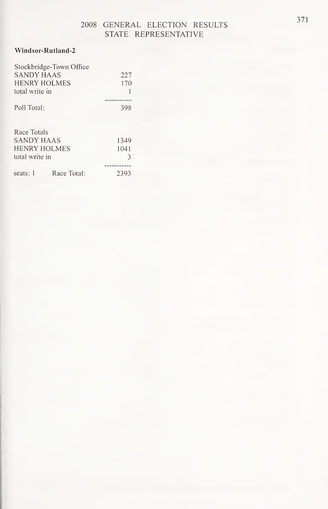#### Windsor-Rutland-2

|                | Stockbridge-Town Office |      |  |
|----------------|-------------------------|------|--|
| SANDY HAAS     |                         | 227  |  |
|                | <b>HENRY HOLMES</b>     | 170  |  |
| total write in |                         |      |  |
|                |                         |      |  |
| Poll Total:    |                         | 398  |  |
|                |                         |      |  |
| Race Totals    |                         |      |  |
| SANDY HAAS     |                         | 1349 |  |
| HENRY HOLMES   |                         | 1041 |  |
| total write in |                         | 3    |  |
|                |                         |      |  |
| seats: 1       | Race Total:             | 2393 |  |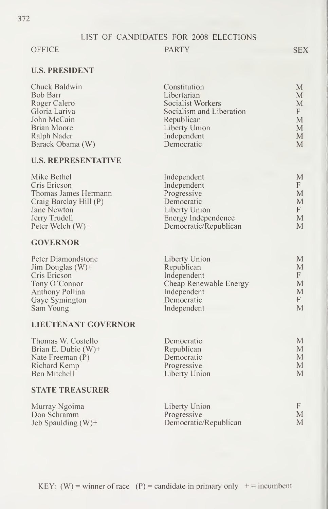#### OFFICE PARTY

#### U.S. PRESIDENT

| Chuck Baldwin    | Constitution             | M |
|------------------|--------------------------|---|
| Bob Barr         | Libertarian              | M |
| Roger Calero     | Socialist Workers        | M |
| Gloria Lariva    | Socialism and Liberation | F |
| John McCain      | Republican               | M |
| Brian Moore      | Liberty Union            | M |
| Ralph Nader      | Independent              | M |
| Barack Obama (W) | Democratic               | M |

#### U.S. REPRESENTATIVE

| Independent           | M                                    |
|-----------------------|--------------------------------------|
| Independent           |                                      |
| Progressive           | M                                    |
| Democratic            | M                                    |
|                       |                                      |
|                       | M                                    |
| Democratic/Republican | M                                    |
|                       | Liberty Union<br>Energy Independence |

#### **GOVERNOR**

| Liberty Union | M                      |
|---------------|------------------------|
| Republican    | M                      |
| Independent   | F.                     |
|               | М                      |
| Independent   | M                      |
| Democratic    | F.                     |
| Independent   | M                      |
|               | Cheap Renewable Energy |

#### LIEUTENANT GOVERNOR

| Thomas W. Costello     | Democratic    | М |
|------------------------|---------------|---|
| Brian E. Dubie $(W)$ + | Republican    | М |
| Nate Freeman $(P)$     | Democratic    | М |
| Richard Kemp           | Progressive   | M |
| Ben Mitchell           | Liberty Union | М |

#### STATE TREASURER

| Murray Ngoima         | Liberty Union         | F. |
|-----------------------|-----------------------|----|
| Don Schramm           | <b>Progressive</b>    | M  |
| Jeb Spaulding $(W)$ + | Democratic/Republican | M  |

SEX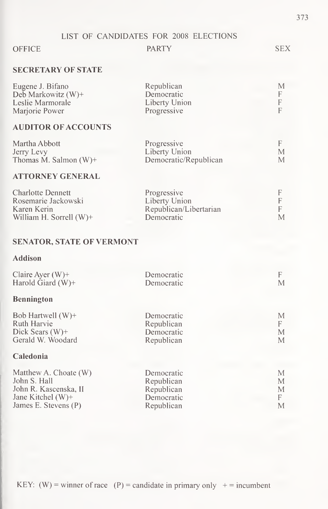#### OFFICE PARTY SEX

#### SECRETARY OF STATE

| Eugene J. Bifano      | Republican    | М |
|-----------------------|---------------|---|
| Deb Markowitz $(W)$ + | Democratic    |   |
| Leslie Marmorale      | Liberty Union | F |
| Marjorie Power        | Progressive   |   |

#### AUDITOR OF ACCOUNTS

| Martha Abbott            | Progressive           |  |
|--------------------------|-----------------------|--|
| Jerry Levy               | Liberty Union         |  |
| Thomas M. Salmon $(W)^+$ | Democratic/Republican |  |

#### ATTORNEY GENERAL

| <b>Charlotte Dennett</b>   | Progressive            |   |
|----------------------------|------------------------|---|
| Rosemarie Jackowski        | Liberty Union          |   |
| Karen Kerin                | Republican/Libertarian |   |
| William H. Sorrell $(W)$ + | Democratic             | M |

### SENATOR, STATE OF VERMONT

#### Addison

| Claire Ayer $(W)$ +                                                                         | Democratic                                           | F                |
|---------------------------------------------------------------------------------------------|------------------------------------------------------|------------------|
| Harold Giard $(W)$ +                                                                        | Democratic                                           | M                |
| <b>Bennington</b>                                                                           |                                                      |                  |
| Bob Hartwell $(W)$ +<br>Ruth Harvie<br>Dick Sears $(W)$ +<br>Gerald W. Woodard<br>Caledonia | Democratic<br>Republican<br>Democratic<br>Republican | М<br>F<br>M<br>M |
| Matthew A. Choate (W)                                                                       | Democratic                                           | М                |
| John S. Hall                                                                                | Republican                                           | M                |
| John R. Kascenska, II                                                                       | Republican                                           | М                |
| Jane Kitchel $(W)$ +                                                                        | Democratic                                           | F                |
| James E. Stevens (P)                                                                        | Republican                                           | M                |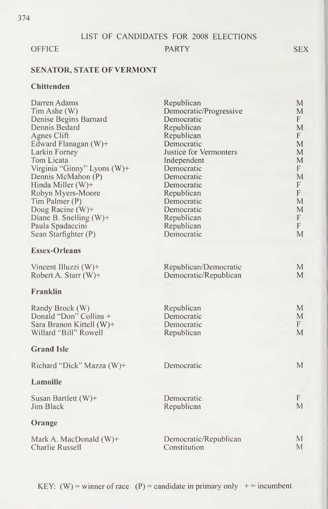#### OFFICE PARTY SEX

#### SENATOR, STATE OF VERMONT

#### **Chittenden**

| Darren Adams                | Republican             | M                         |
|-----------------------------|------------------------|---------------------------|
| Tim Ashe (W)                | Democratic/Progressive | M                         |
| Denise Begins Barnard       | Democratic             | $\mathbf{F}$              |
| Dennis Bedard               | Republican             | M                         |
| Agnes Clift                 | Republican             | F                         |
| Edward Flanagan (W)+        | Democratic             | M                         |
| Larkin Forney               | Justice for Vermonters | M                         |
| Tom Licata                  | Independent            | M                         |
| Virginia "Ginny" Lyons (W)+ | Democratic             | $\mathbf{F}$              |
| Dennis McMahon (P)          | Democratic             | M                         |
| Hinda Miller (W)+           | Democratic             | F                         |
| Robyn Myers-Moore           | Republican             | F                         |
| Tim Palmer (P)              | Democratic             | M                         |
| Doug Racine $(W)$ +         | Democratic             | M                         |
| Diane B. Snelling $(W)$ +   | Republican             | $\boldsymbol{\mathrm{F}}$ |
| Paula Spadaccini            | Republican             | F                         |
| Sean Starfighter (P)        | Democratic             | M                         |
| <b>Essex-Orleans</b>        |                        |                           |
| Vincent Illuzzi (W)+        | Republican/Democratic  | M                         |
| Robert A. Starr $(W)$ +     | Democratic/Republican  | M                         |
| Franklin                    |                        |                           |
| Randy Brock (W)             | Republican             | M                         |
| Donald "Don" Collins +      | Democratic             | M                         |
| Sara Branon Kittell (W)+    | Democratic             | F                         |
| Willard "Bill" Rowell       | Republican             | M                         |
| <b>Grand Isle</b>           |                        |                           |
| Richard "Dick" Mazza (W)+   | Democratic             | $\mathbf{M}$              |
| <b>Lamoille</b>             |                        |                           |
| Susan Bartlett $(W)$ +      | Democratic             | $\mathbf{F}$              |
| Jim Black                   | Republican             | M                         |
| Orange                      |                        |                           |
| Mark A. MacDonald (W)+      | Democratic/Republican  | M                         |
| Charlie Russell             | Constitution           | M                         |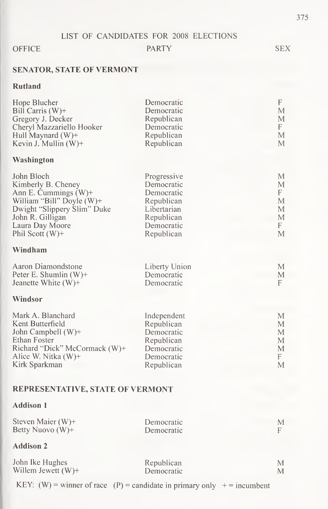#### OFFICE PARTY SEX

### SENATOR, STATE OF VERMONT

#### Rutland

| Hope Blucher                                                                        | Democratic                                | F           |
|-------------------------------------------------------------------------------------|-------------------------------------------|-------------|
| Bill Carris (W)+                                                                    | Democratic                                | M           |
| Gregory J. Decker                                                                   | Republican                                | M           |
| Cheryl Mazzariello Hooker                                                           | Democratic                                | F           |
| Hull Maynard (W)+                                                                   | Republican                                | М           |
| Kevin J. Mullin (W)+                                                                | Republican                                | M           |
| Washington                                                                          |                                           |             |
| John Bloch                                                                          | Progressive                               | M           |
| Kimberly B. Cheney                                                                  | Democratic                                | M           |
| Ann E. Cummings (W)+                                                                | Democratic                                | F           |
| William "Bill" Doyle (W)+                                                           | Republican                                | М           |
| Dwight "Slippery Slim" Duke                                                         | Libertarian                               | М           |
| John R. Gilligan                                                                    | Republican                                | M           |
| Laura Day Moore                                                                     | Democratic                                | F           |
| Phil Scott $(W)$ +                                                                  | Republican                                | M           |
| Windham                                                                             |                                           |             |
| Aaron Diamondstone<br>Peter E. Shumlin $(W)$ +<br>Jeanette White $(W)$ +<br>Windsor | Liberty Union<br>Democratic<br>Democratic | M<br>M<br>F |
| Mark A. Blanchard                                                                   | Independent                               | M           |
| Kent Butterfield                                                                    | Republican                                | M           |
| John Campbell (W)+                                                                  | Democratic                                | M           |
| Ethan Foster                                                                        | Republican                                | М           |
| Richard "Dick" McCormack (W)+                                                       | Democratic                                | M           |
| Alice W. Nitka $(W)$ +                                                              | Democratic                                | F           |
| Kirk Sparkman                                                                       | Republican                                | M           |

#### REPRESENTATIVE, STATE OF VERMONT

#### Addison <sup>1</sup>

| Steven Maier $(W)$ +<br>Betty Nuovo $(W)$ + | Democratic<br>Democratic | М<br>F |
|---------------------------------------------|--------------------------|--------|
| <b>Addison 2</b>                            |                          |        |
| John Ike Hughes                             | Republican               | М      |
| Willem Jewett $(W)$ +                       | Democratic               | М      |

KEY: (W) = winner of race (P) = candidate in primary only  $+$  = incumbent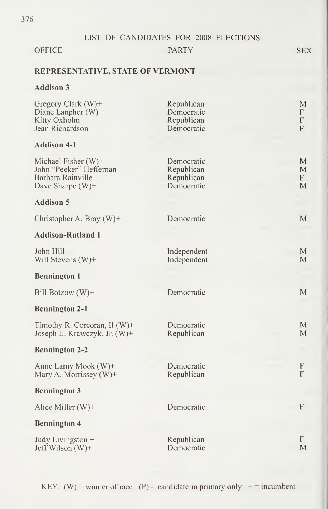#### OFFICE PARTY SEX

#### REPRESENTATIVE, STATE OF VERMONT

### Addison 3

| Gregory Clark (W)+<br>Diane Lanpher (W)<br>Kitty Oxholm<br>Jean Richardson              | Republican<br>Democratic<br>Republican<br>Democratic | M<br>F<br>$\boldsymbol{\mathsf{F}}$<br>F |
|-----------------------------------------------------------------------------------------|------------------------------------------------------|------------------------------------------|
| <b>Addison 4-1</b>                                                                      |                                                      |                                          |
| Michael Fisher (W)+<br>John "Peeker" Heffernan<br>Barbara Rainville<br>Dave Sharpe (W)+ | Democratic<br>Republican<br>Republican<br>Democratic | M<br>M<br>F<br>M                         |
| <b>Addison 5</b>                                                                        |                                                      |                                          |
| Christopher A. Bray (W)+                                                                | Democratic                                           | M                                        |
| <b>Addison-Rutland 1</b>                                                                |                                                      |                                          |
| John Hill<br>Will Stevens $(W)$ +                                                       | Independent<br>Independent                           | $\mathbf{M}$<br>$\mathbf{M}$             |
| <b>Bennington 1</b>                                                                     |                                                      |                                          |
| Bill Botzow (W)+                                                                        | Democratic                                           | M                                        |
| <b>Bennington 2-1</b>                                                                   |                                                      |                                          |
| Timothy R. Corcoran, II $(W)$ +<br>Joseph L. Krawczyk, Jr. (W)+                         | Democratic<br>Republican                             | M<br>M                                   |
| <b>Bennington 2-2</b>                                                                   |                                                      |                                          |
| Anne Lamy Mook (W)+<br>Mary A. Morrissey (W)+                                           | Democratic<br>Republican                             | F<br>F                                   |
| <b>Bennington 3</b>                                                                     |                                                      |                                          |
| Alice Miller (W)+                                                                       | Democratic                                           | F                                        |
| <b>Bennington 4</b>                                                                     |                                                      |                                          |
| Judy Livingston +<br>Jeff Wilson $(W)$ +                                                | Republican<br>Democratic                             | F<br>M                                   |